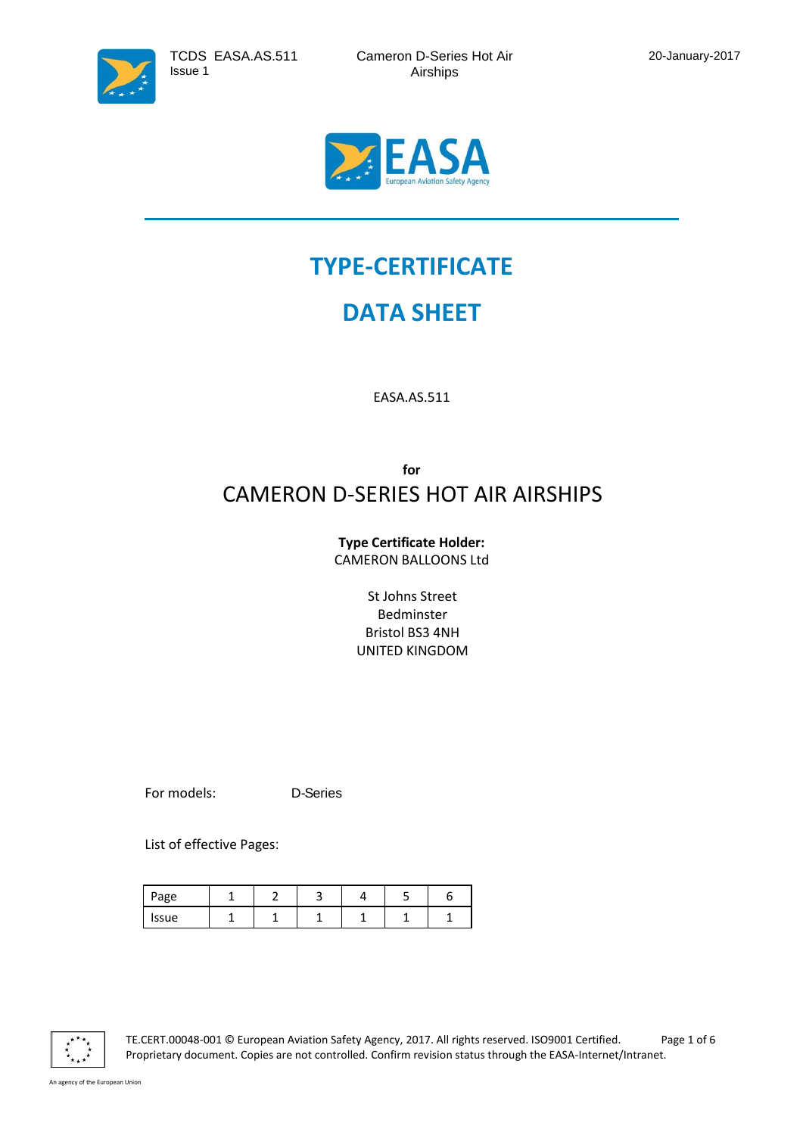

# **TYPE-CERTIFICATE**

## **DATA SHEET**

EASA.AS.511

### **for** CAMERON D-SERIES HOT AIR AIRSHIPS

#### **Type Certificate Holder:** CAMERON BALLOONS Ltd

St Johns Street Bedminster Bristol BS3 4NH UNITED KINGDOM

For models: D-Series

List of effective Pages:

| Page  |  |  |  |
|-------|--|--|--|
| issue |  |  |  |



TE.CERT.00048-001 © European Aviation Safety Agency, 2017. All rights reserved. ISO9001 Certified. Page 1 of 6 Proprietary document. Copies are not controlled. Confirm revision status through the EASA-Internet/Intranet.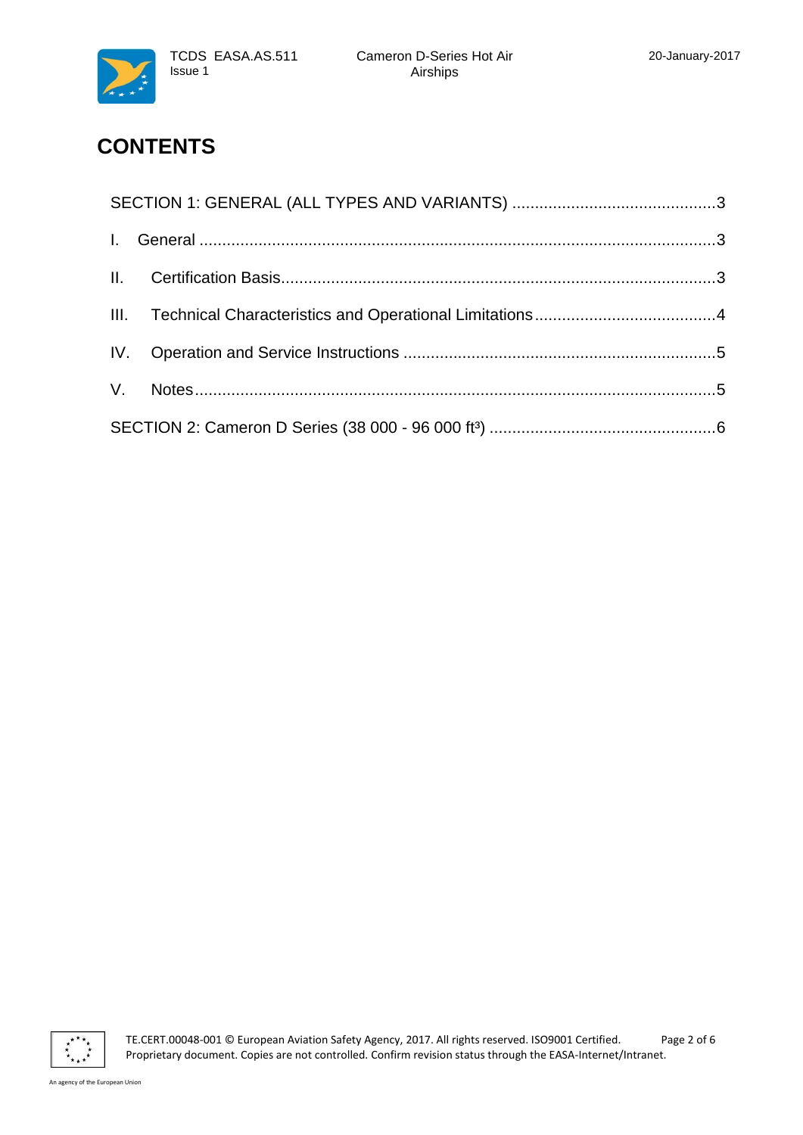





### **CONTENTS**

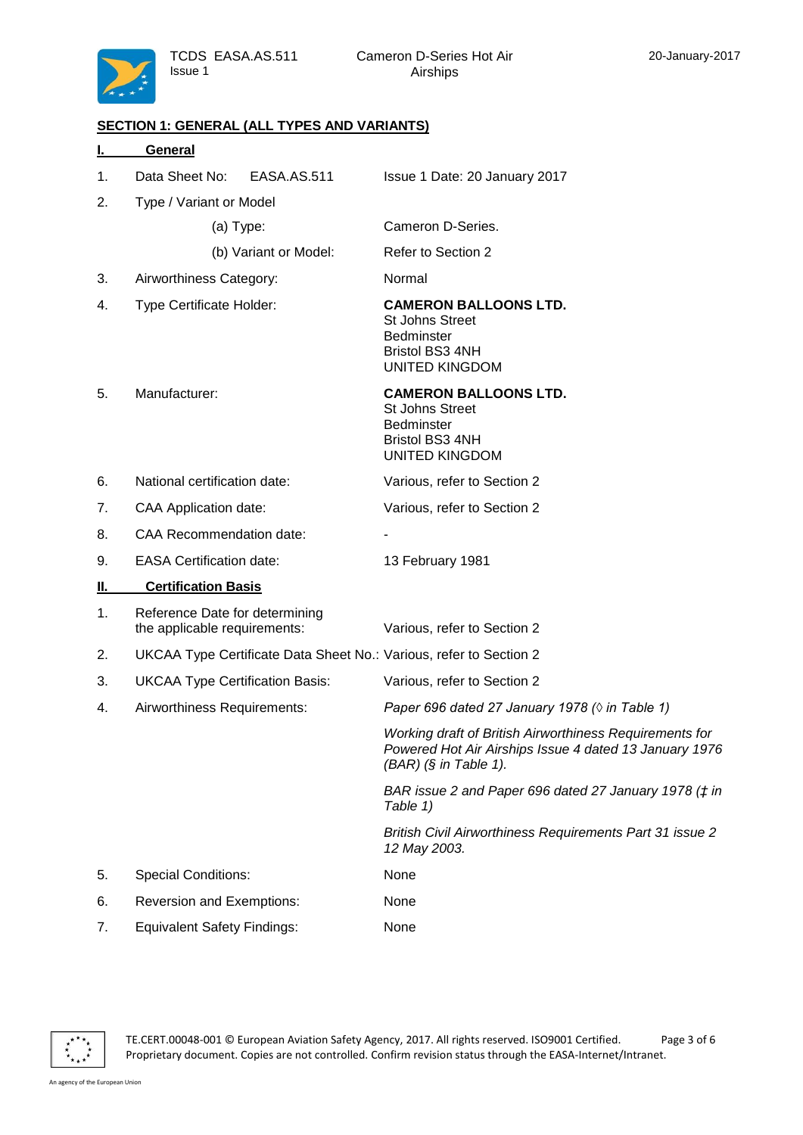TCDS EASA.AS.511 Issue 1



#### <span id="page-2-0"></span>**SECTION 1: GENERAL (ALL TYPES AND VARIANTS)**

<span id="page-2-2"></span><span id="page-2-1"></span>

|    | General                                                            |                                                                                                                                              |  |  |  |
|----|--------------------------------------------------------------------|----------------------------------------------------------------------------------------------------------------------------------------------|--|--|--|
| 1. | Data Sheet No:<br>EASA.AS.511                                      | Issue 1 Date: 20 January 2017                                                                                                                |  |  |  |
| 2. | Type / Variant or Model                                            |                                                                                                                                              |  |  |  |
|    | $(a)$ Type:                                                        | Cameron D-Series.                                                                                                                            |  |  |  |
|    | (b) Variant or Model:                                              | Refer to Section 2                                                                                                                           |  |  |  |
| 3. | Airworthiness Category:                                            | Normal                                                                                                                                       |  |  |  |
| 4. | Type Certificate Holder:                                           | <b>CAMERON BALLOONS LTD.</b><br>St Johns Street<br><b>Bedminster</b><br>Bristol BS3 4NH<br><b>UNITED KINGDOM</b>                             |  |  |  |
| 5. | Manufacturer:                                                      | <b>CAMERON BALLOONS LTD.</b><br><b>St Johns Street</b><br><b>Bedminster</b><br><b>Bristol BS3 4NH</b><br><b>UNITED KINGDOM</b>               |  |  |  |
| 6. | National certification date:                                       | Various, refer to Section 2                                                                                                                  |  |  |  |
| 7. | <b>CAA Application date:</b>                                       | Various, refer to Section 2                                                                                                                  |  |  |  |
| 8. | <b>CAA Recommendation date:</b>                                    |                                                                                                                                              |  |  |  |
| 9. | <b>EASA Certification date:</b>                                    | 13 February 1981                                                                                                                             |  |  |  |
| Ш. | <b>Certification Basis</b>                                         |                                                                                                                                              |  |  |  |
| 1. | Reference Date for determining<br>the applicable requirements:     | Various, refer to Section 2                                                                                                                  |  |  |  |
| 2. | UKCAA Type Certificate Data Sheet No.: Various, refer to Section 2 |                                                                                                                                              |  |  |  |
| 3. | <b>UKCAA Type Certification Basis:</b>                             | Various, refer to Section 2                                                                                                                  |  |  |  |
| 4. | Airworthiness Requirements:                                        | Paper 696 dated 27 January 1978 ( $\Diamond$ in Table 1)                                                                                     |  |  |  |
|    |                                                                    | Working draft of British Airworthiness Requirements for<br>Powered Hot Air Airships Issue 4 dated 13 January 1976<br>$(BAR)$ (§ in Table 1). |  |  |  |
|    |                                                                    | BAR issue 2 and Paper 696 dated 27 January 1978 (# in<br>Table 1)                                                                            |  |  |  |
|    |                                                                    | <b>British Civil Airworthiness Requirements Part 31 issue 2</b><br>12 May 2003.                                                              |  |  |  |
| 5. | <b>Special Conditions:</b>                                         | None                                                                                                                                         |  |  |  |
| 6. | Reversion and Exemptions:                                          | None                                                                                                                                         |  |  |  |
| 7. | <b>Equivalent Safety Findings:</b>                                 | None                                                                                                                                         |  |  |  |



TE.CERT.00048-001 © European Aviation Safety Agency, 2017. All rights reserved. ISO9001 Certified. Page 3 of 6 Proprietary document. Copies are not controlled. Confirm revision status through the EASA-Internet/Intranet.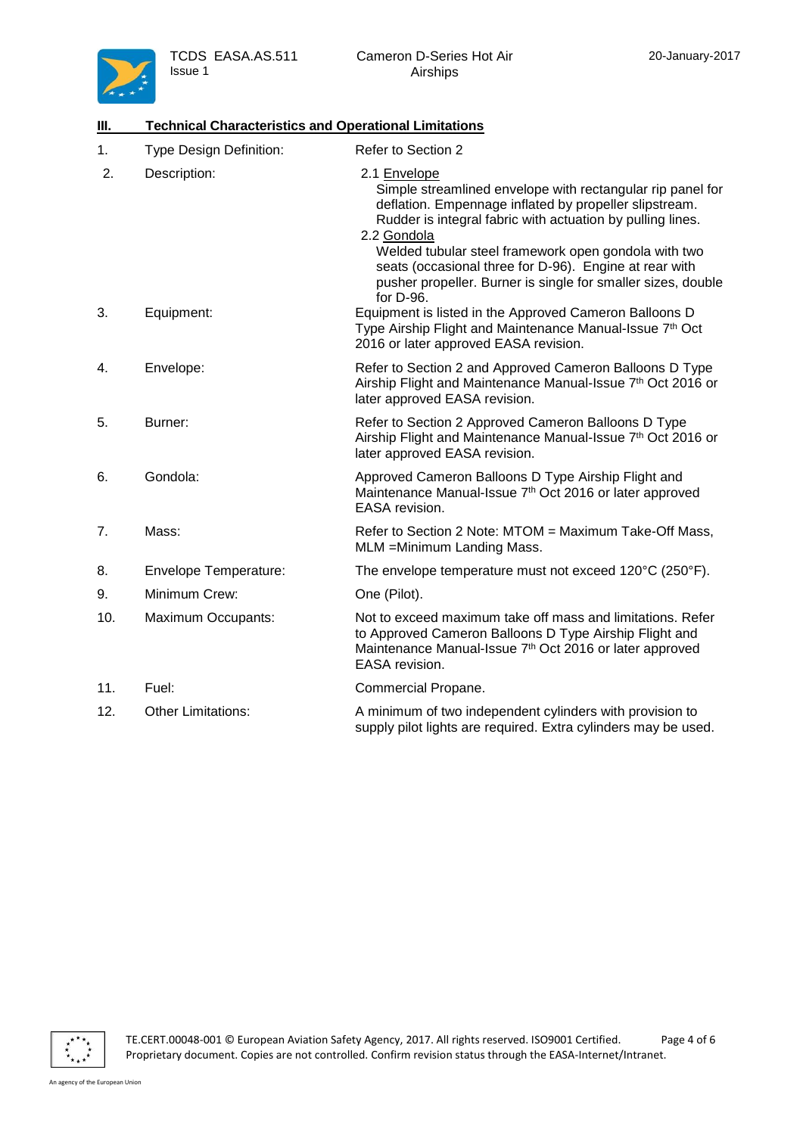

<span id="page-3-0"></span>

| III. | <b>Technical Characteristics and Operational Limitations</b> |                                                                                                                                                                                                                                                                                                                                                                                                                  |  |  |  |
|------|--------------------------------------------------------------|------------------------------------------------------------------------------------------------------------------------------------------------------------------------------------------------------------------------------------------------------------------------------------------------------------------------------------------------------------------------------------------------------------------|--|--|--|
| 1.   | <b>Type Design Definition:</b>                               | Refer to Section 2                                                                                                                                                                                                                                                                                                                                                                                               |  |  |  |
| 2.   | Description:                                                 | 2.1 Envelope<br>Simple streamlined envelope with rectangular rip panel for<br>deflation. Empennage inflated by propeller slipstream.<br>Rudder is integral fabric with actuation by pulling lines.<br>2.2 Gondola<br>Welded tubular steel framework open gondola with two<br>seats (occasional three for D-96). Engine at rear with<br>pusher propeller. Burner is single for smaller sizes, double<br>for D-96. |  |  |  |
| 3.   | Equipment:                                                   | Equipment is listed in the Approved Cameron Balloons D<br>Type Airship Flight and Maintenance Manual-Issue 7th Oct<br>2016 or later approved EASA revision.                                                                                                                                                                                                                                                      |  |  |  |
| 4.   | Envelope:                                                    | Refer to Section 2 and Approved Cameron Balloons D Type<br>Airship Flight and Maintenance Manual-Issue 7th Oct 2016 or<br>later approved EASA revision.                                                                                                                                                                                                                                                          |  |  |  |
| 5.   | Burner:                                                      | Refer to Section 2 Approved Cameron Balloons D Type<br>Airship Flight and Maintenance Manual-Issue 7th Oct 2016 or<br>later approved EASA revision.                                                                                                                                                                                                                                                              |  |  |  |
| 6.   | Gondola:                                                     | Approved Cameron Balloons D Type Airship Flight and<br>Maintenance Manual-Issue 7th Oct 2016 or later approved<br>EASA revision.                                                                                                                                                                                                                                                                                 |  |  |  |
| 7.   | Mass:                                                        | Refer to Section 2 Note: MTOM = Maximum Take-Off Mass,<br>MLM = Minimum Landing Mass.                                                                                                                                                                                                                                                                                                                            |  |  |  |
| 8.   | <b>Envelope Temperature:</b>                                 | The envelope temperature must not exceed 120°C (250°F).                                                                                                                                                                                                                                                                                                                                                          |  |  |  |
| 9.   | Minimum Crew:                                                | One (Pilot).                                                                                                                                                                                                                                                                                                                                                                                                     |  |  |  |
| 10.  | Maximum Occupants:                                           | Not to exceed maximum take off mass and limitations. Refer<br>to Approved Cameron Balloons D Type Airship Flight and<br>Maintenance Manual-Issue 7th Oct 2016 or later approved<br>EASA revision.                                                                                                                                                                                                                |  |  |  |
| 11.  | Fuel:                                                        | Commercial Propane.                                                                                                                                                                                                                                                                                                                                                                                              |  |  |  |
| 12.  | <b>Other Limitations:</b>                                    | A minimum of two independent cylinders with provision to<br>supply pilot lights are required. Extra cylinders may be used.                                                                                                                                                                                                                                                                                       |  |  |  |

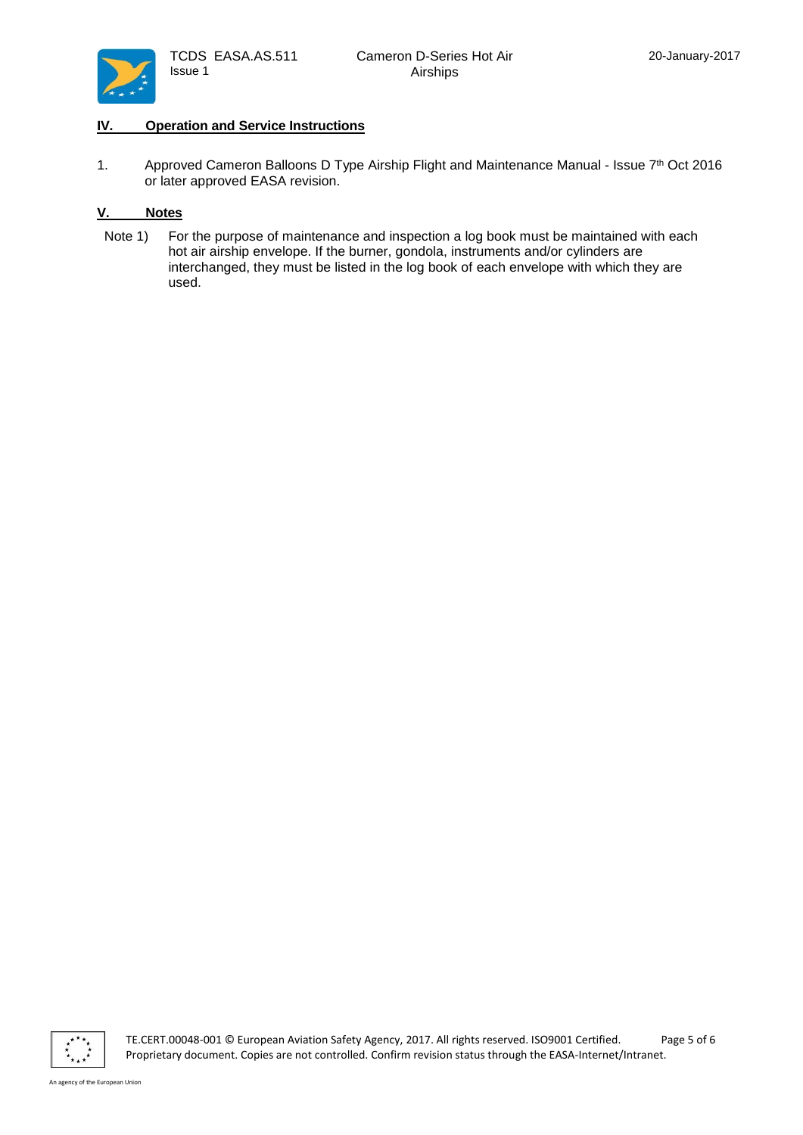

### <span id="page-4-0"></span>**IV. Operation and Service Instructions**

1. Approved Cameron Balloons D Type Airship Flight and Maintenance Manual - Issue 7<sup>th</sup> Oct 2016 or later approved EASA revision.

### <span id="page-4-1"></span>**V. Notes**

Note 1) For the purpose of maintenance and inspection a log book must be maintained with each hot air airship envelope. If the burner, gondola, instruments and/or cylinders are interchanged, they must be listed in the log book of each envelope with which they are used.